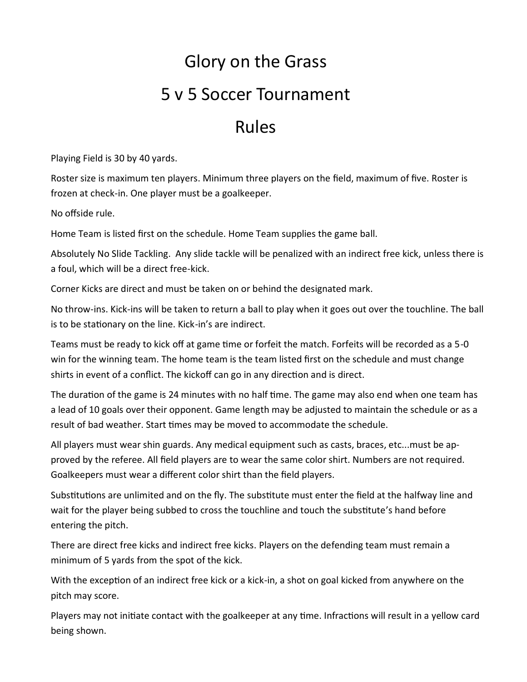## Glory on the Grass 5 v 5 Soccer Tournament

## Rules

Playing Field is 30 by 40 yards.

Roster size is maximum ten players. Minimum three players on the field, maximum of five. Roster is frozen at check-in. One player must be a goalkeeper.

No offside rule.

Home Team is listed first on the schedule. Home Team supplies the game ball.

Absolutely No Slide Tackling. Any slide tackle will be penalized with an indirect free kick, unless there is a foul, which will be a direct free-kick.

Corner Kicks are direct and must be taken on or behind the designated mark.

No throw-ins. Kick-ins will be taken to return a ball to play when it goes out over the touchline. The ball is to be stationary on the line. Kick-in's are indirect.

Teams must be ready to kick off at game time or forfeit the match. Forfeits will be recorded as a 5-0 win for the winning team. The home team is the team listed first on the schedule and must change shirts in event of a conflict. The kickoff can go in any direction and is direct.

The duration of the game is 24 minutes with no half time. The game may also end when one team has a lead of 10 goals over their opponent. Game length may be adjusted to maintain the schedule or as a result of bad weather. Start times may be moved to accommodate the schedule.

All players must wear shin guards. Any medical equipment such as casts, braces, etc...must be approved by the referee. All field players are to wear the same color shirt. Numbers are not required. Goalkeepers must wear a different color shirt than the field players.

Substitutions are unlimited and on the fly. The substitute must enter the field at the halfway line and wait for the player being subbed to cross the touchline and touch the substitute's hand before entering the pitch.

There are direct free kicks and indirect free kicks. Players on the defending team must remain a minimum of 5 yards from the spot of the kick.

With the exception of an indirect free kick or a kick-in, a shot on goal kicked from anywhere on the pitch may score.

Players may not initiate contact with the goalkeeper at any time. Infractions will result in a yellow card being shown.